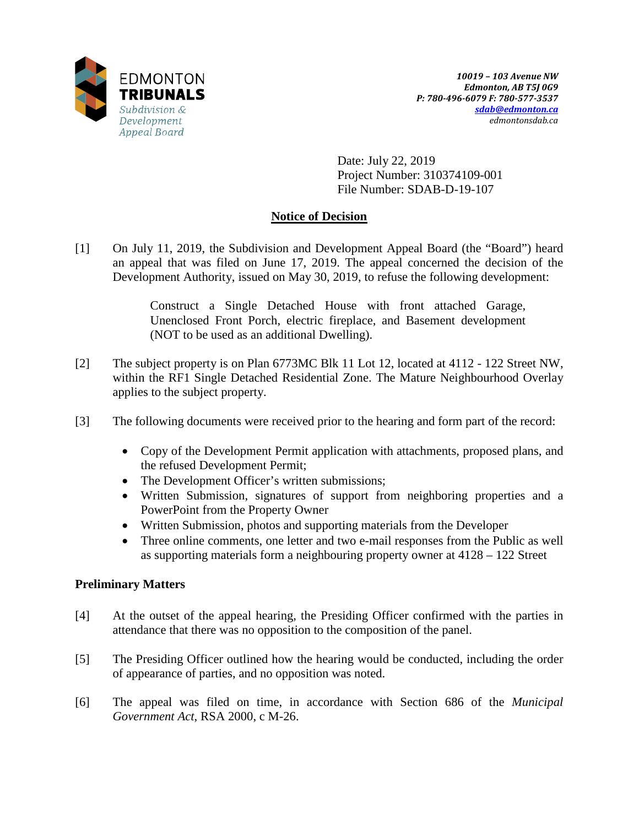

Date: July 22, 2019 Project Number: 310374109-001 File Number: SDAB-D-19-107

# **Notice of Decision**

[1] On July 11, 2019, the Subdivision and Development Appeal Board (the "Board") heard an appeal that was filed on June 17, 2019. The appeal concerned the decision of the Development Authority, issued on May 30, 2019, to refuse the following development:

> Construct a Single Detached House with front attached Garage, Unenclosed Front Porch, electric fireplace, and Basement development (NOT to be used as an additional Dwelling).

- [2] The subject property is on Plan 6773MC Blk 11 Lot 12, located at 4112 122 Street NW, within the RF1 Single Detached Residential Zone. The Mature Neighbourhood Overlay applies to the subject property.
- [3] The following documents were received prior to the hearing and form part of the record:
	- Copy of the Development Permit application with attachments, proposed plans, and the refused Development Permit;
	- The Development Officer's written submissions;
	- Written Submission, signatures of support from neighboring properties and a PowerPoint from the Property Owner
	- Written Submission, photos and supporting materials from the Developer
	- Three online comments, one letter and two e-mail responses from the Public as well as supporting materials form a neighbouring property owner at 4128 – 122 Street

# **Preliminary Matters**

- [4] At the outset of the appeal hearing, the Presiding Officer confirmed with the parties in attendance that there was no opposition to the composition of the panel.
- [5] The Presiding Officer outlined how the hearing would be conducted, including the order of appearance of parties, and no opposition was noted.
- [6] The appeal was filed on time, in accordance with Section 686 of the *Municipal Government Act*, RSA 2000, c M-26.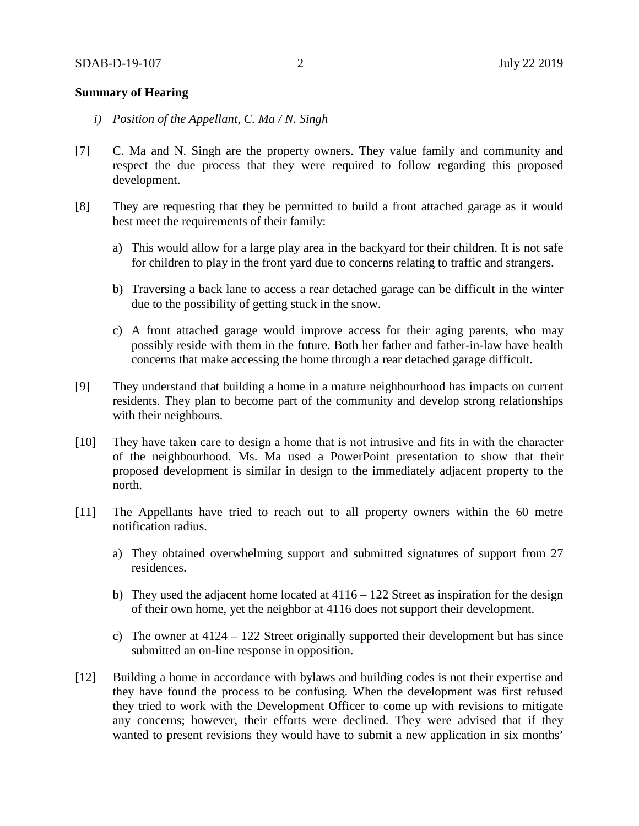### **Summary of Hearing**

- *i) Position of the Appellant, C. Ma / N. Singh*
- [7] C. Ma and N. Singh are the property owners. They value family and community and respect the due process that they were required to follow regarding this proposed development.
- [8] They are requesting that they be permitted to build a front attached garage as it would best meet the requirements of their family:
	- a) This would allow for a large play area in the backyard for their children. It is not safe for children to play in the front yard due to concerns relating to traffic and strangers.
	- b) Traversing a back lane to access a rear detached garage can be difficult in the winter due to the possibility of getting stuck in the snow.
	- c) A front attached garage would improve access for their aging parents, who may possibly reside with them in the future. Both her father and father-in-law have health concerns that make accessing the home through a rear detached garage difficult.
- [9] They understand that building a home in a mature neighbourhood has impacts on current residents. They plan to become part of the community and develop strong relationships with their neighbours.
- [10] They have taken care to design a home that is not intrusive and fits in with the character of the neighbourhood. Ms. Ma used a PowerPoint presentation to show that their proposed development is similar in design to the immediately adjacent property to the north.
- [11] The Appellants have tried to reach out to all property owners within the 60 metre notification radius.
	- a) They obtained overwhelming support and submitted signatures of support from 27 residences.
	- b) They used the adjacent home located at 4116 122 Street as inspiration for the design of their own home, yet the neighbor at 4116 does not support their development.
	- c) The owner at 4124 122 Street originally supported their development but has since submitted an on-line response in opposition.
- [12] Building a home in accordance with bylaws and building codes is not their expertise and they have found the process to be confusing. When the development was first refused they tried to work with the Development Officer to come up with revisions to mitigate any concerns; however, their efforts were declined. They were advised that if they wanted to present revisions they would have to submit a new application in six months'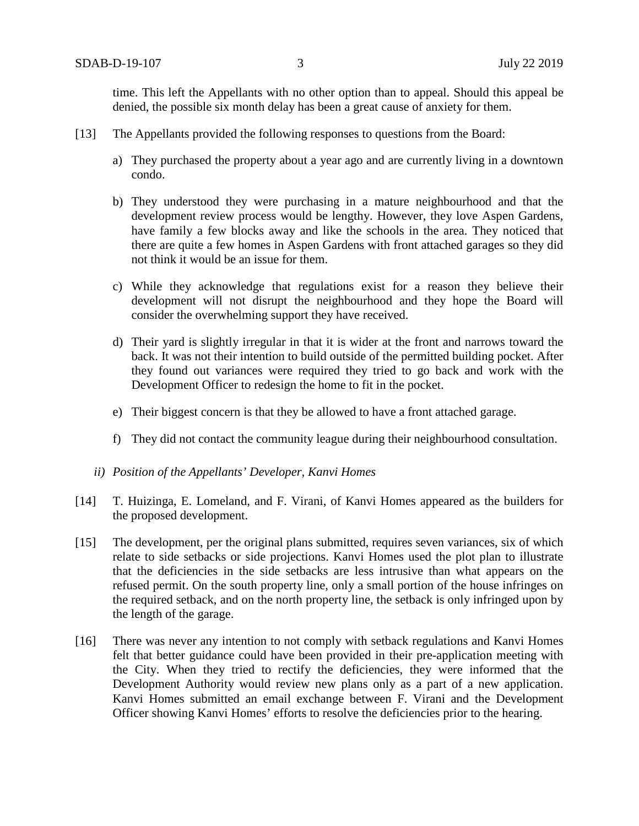time. This left the Appellants with no other option than to appeal. Should this appeal be denied, the possible six month delay has been a great cause of anxiety for them.

- [13] The Appellants provided the following responses to questions from the Board:
	- a) They purchased the property about a year ago and are currently living in a downtown condo.
	- b) They understood they were purchasing in a mature neighbourhood and that the development review process would be lengthy. However, they love Aspen Gardens, have family a few blocks away and like the schools in the area. They noticed that there are quite a few homes in Aspen Gardens with front attached garages so they did not think it would be an issue for them.
	- c) While they acknowledge that regulations exist for a reason they believe their development will not disrupt the neighbourhood and they hope the Board will consider the overwhelming support they have received.
	- d) Their yard is slightly irregular in that it is wider at the front and narrows toward the back. It was not their intention to build outside of the permitted building pocket. After they found out variances were required they tried to go back and work with the Development Officer to redesign the home to fit in the pocket.
	- e) Their biggest concern is that they be allowed to have a front attached garage.
	- f) They did not contact the community league during their neighbourhood consultation.
	- *ii) Position of the Appellants' Developer, Kanvi Homes*
- [14] T. Huizinga, E. Lomeland, and F. Virani, of Kanvi Homes appeared as the builders for the proposed development.
- [15] The development, per the original plans submitted, requires seven variances, six of which relate to side setbacks or side projections. Kanvi Homes used the plot plan to illustrate that the deficiencies in the side setbacks are less intrusive than what appears on the refused permit. On the south property line, only a small portion of the house infringes on the required setback, and on the north property line, the setback is only infringed upon by the length of the garage.
- [16] There was never any intention to not comply with setback regulations and Kanvi Homes felt that better guidance could have been provided in their pre-application meeting with the City. When they tried to rectify the deficiencies, they were informed that the Development Authority would review new plans only as a part of a new application. Kanvi Homes submitted an email exchange between F. Virani and the Development Officer showing Kanvi Homes' efforts to resolve the deficiencies prior to the hearing.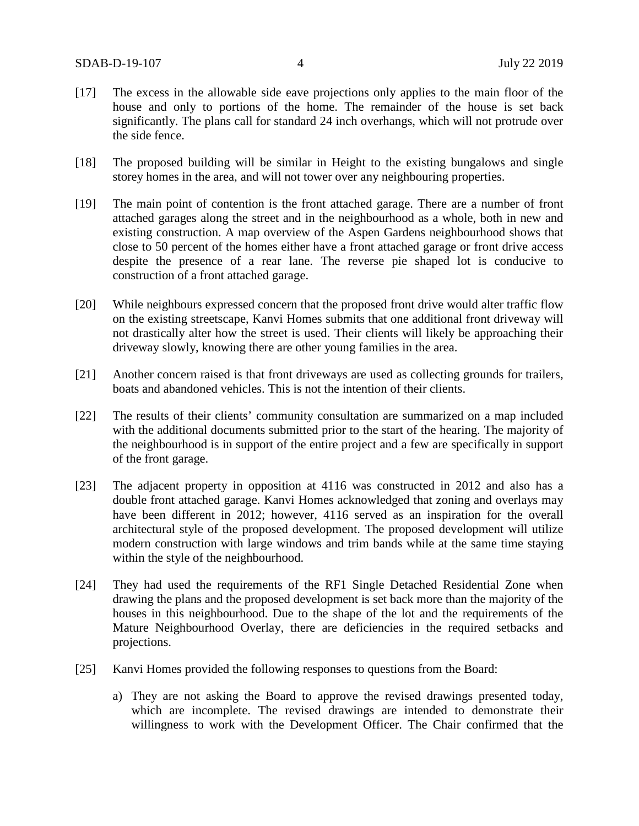- [17] The excess in the allowable side eave projections only applies to the main floor of the house and only to portions of the home. The remainder of the house is set back significantly. The plans call for standard 24 inch overhangs, which will not protrude over the side fence.
- [18] The proposed building will be similar in Height to the existing bungalows and single storey homes in the area, and will not tower over any neighbouring properties.
- [19] The main point of contention is the front attached garage. There are a number of front attached garages along the street and in the neighbourhood as a whole, both in new and existing construction. A map overview of the Aspen Gardens neighbourhood shows that close to 50 percent of the homes either have a front attached garage or front drive access despite the presence of a rear lane. The reverse pie shaped lot is conducive to construction of a front attached garage.
- [20] While neighbours expressed concern that the proposed front drive would alter traffic flow on the existing streetscape, Kanvi Homes submits that one additional front driveway will not drastically alter how the street is used. Their clients will likely be approaching their driveway slowly, knowing there are other young families in the area.
- [21] Another concern raised is that front driveways are used as collecting grounds for trailers, boats and abandoned vehicles. This is not the intention of their clients.
- [22] The results of their clients' community consultation are summarized on a map included with the additional documents submitted prior to the start of the hearing. The majority of the neighbourhood is in support of the entire project and a few are specifically in support of the front garage.
- [23] The adjacent property in opposition at 4116 was constructed in 2012 and also has a double front attached garage. Kanvi Homes acknowledged that zoning and overlays may have been different in 2012; however, 4116 served as an inspiration for the overall architectural style of the proposed development. The proposed development will utilize modern construction with large windows and trim bands while at the same time staying within the style of the neighbourhood.
- [24] They had used the requirements of the RF1 Single Detached Residential Zone when drawing the plans and the proposed development is set back more than the majority of the houses in this neighbourhood. Due to the shape of the lot and the requirements of the Mature Neighbourhood Overlay, there are deficiencies in the required setbacks and projections.
- [25] Kanvi Homes provided the following responses to questions from the Board:
	- a) They are not asking the Board to approve the revised drawings presented today, which are incomplete. The revised drawings are intended to demonstrate their willingness to work with the Development Officer. The Chair confirmed that the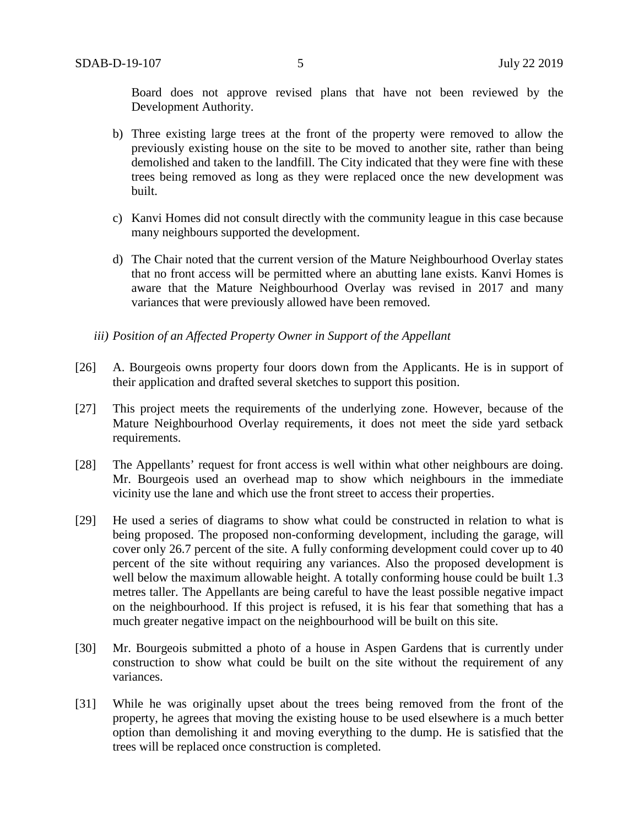Board does not approve revised plans that have not been reviewed by the Development Authority.

- b) Three existing large trees at the front of the property were removed to allow the previously existing house on the site to be moved to another site, rather than being demolished and taken to the landfill. The City indicated that they were fine with these trees being removed as long as they were replaced once the new development was built.
- c) Kanvi Homes did not consult directly with the community league in this case because many neighbours supported the development.
- d) The Chair noted that the current version of the Mature Neighbourhood Overlay states that no front access will be permitted where an abutting lane exists. Kanvi Homes is aware that the Mature Neighbourhood Overlay was revised in 2017 and many variances that were previously allowed have been removed.
- *iii) Position of an Affected Property Owner in Support of the Appellant*
- [26] A. Bourgeois owns property four doors down from the Applicants. He is in support of their application and drafted several sketches to support this position.
- [27] This project meets the requirements of the underlying zone. However, because of the Mature Neighbourhood Overlay requirements, it does not meet the side yard setback requirements.
- [28] The Appellants' request for front access is well within what other neighbours are doing. Mr. Bourgeois used an overhead map to show which neighbours in the immediate vicinity use the lane and which use the front street to access their properties.
- [29] He used a series of diagrams to show what could be constructed in relation to what is being proposed. The proposed non-conforming development, including the garage, will cover only 26.7 percent of the site. A fully conforming development could cover up to 40 percent of the site without requiring any variances. Also the proposed development is well below the maximum allowable height. A totally conforming house could be built 1.3 metres taller. The Appellants are being careful to have the least possible negative impact on the neighbourhood. If this project is refused, it is his fear that something that has a much greater negative impact on the neighbourhood will be built on this site.
- [30] Mr. Bourgeois submitted a photo of a house in Aspen Gardens that is currently under construction to show what could be built on the site without the requirement of any variances.
- [31] While he was originally upset about the trees being removed from the front of the property, he agrees that moving the existing house to be used elsewhere is a much better option than demolishing it and moving everything to the dump. He is satisfied that the trees will be replaced once construction is completed.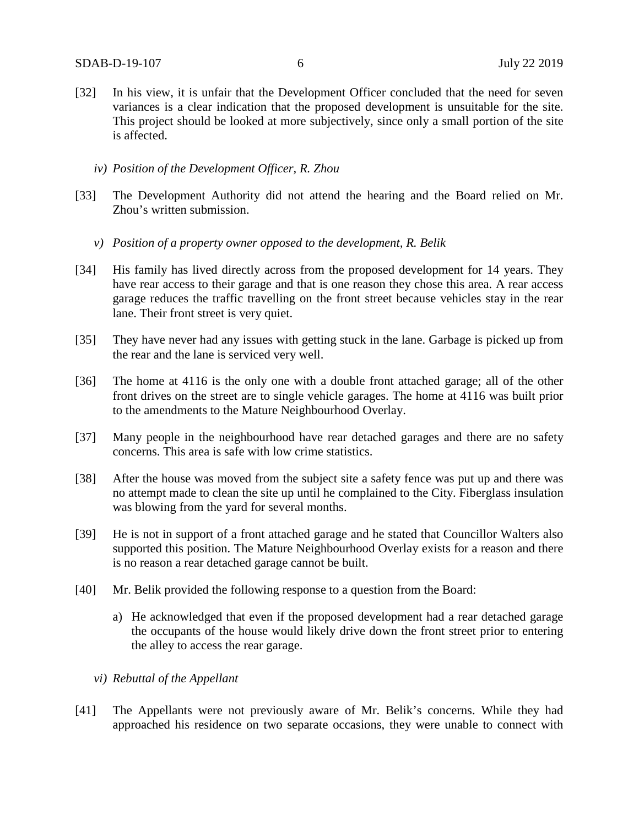- [32] In his view, it is unfair that the Development Officer concluded that the need for seven variances is a clear indication that the proposed development is unsuitable for the site. This project should be looked at more subjectively, since only a small portion of the site is affected.
	- *iv) Position of the Development Officer, R. Zhou*
- [33] The Development Authority did not attend the hearing and the Board relied on Mr. Zhou's written submission.
	- *v) Position of a property owner opposed to the development, R. Belik*
- [34] His family has lived directly across from the proposed development for 14 years. They have rear access to their garage and that is one reason they chose this area. A rear access garage reduces the traffic travelling on the front street because vehicles stay in the rear lane. Their front street is very quiet.
- [35] They have never had any issues with getting stuck in the lane. Garbage is picked up from the rear and the lane is serviced very well.
- [36] The home at 4116 is the only one with a double front attached garage; all of the other front drives on the street are to single vehicle garages. The home at 4116 was built prior to the amendments to the Mature Neighbourhood Overlay.
- [37] Many people in the neighbourhood have rear detached garages and there are no safety concerns. This area is safe with low crime statistics.
- [38] After the house was moved from the subject site a safety fence was put up and there was no attempt made to clean the site up until he complained to the City. Fiberglass insulation was blowing from the yard for several months.
- [39] He is not in support of a front attached garage and he stated that Councillor Walters also supported this position. The Mature Neighbourhood Overlay exists for a reason and there is no reason a rear detached garage cannot be built.
- [40] Mr. Belik provided the following response to a question from the Board:
	- a) He acknowledged that even if the proposed development had a rear detached garage the occupants of the house would likely drive down the front street prior to entering the alley to access the rear garage.
	- *vi) Rebuttal of the Appellant*
- [41] The Appellants were not previously aware of Mr. Belik's concerns. While they had approached his residence on two separate occasions, they were unable to connect with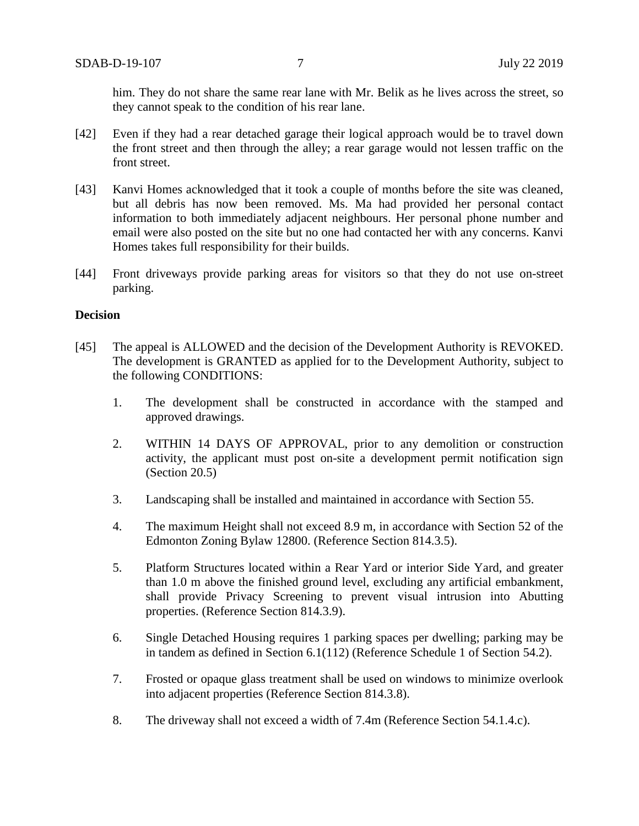him. They do not share the same rear lane with Mr. Belik as he lives across the street, so they cannot speak to the condition of his rear lane.

- [42] Even if they had a rear detached garage their logical approach would be to travel down the front street and then through the alley; a rear garage would not lessen traffic on the front street.
- [43] Kanvi Homes acknowledged that it took a couple of months before the site was cleaned, but all debris has now been removed. Ms. Ma had provided her personal contact information to both immediately adjacent neighbours. Her personal phone number and email were also posted on the site but no one had contacted her with any concerns. Kanvi Homes takes full responsibility for their builds.
- [44] Front driveways provide parking areas for visitors so that they do not use on-street parking.

### **Decision**

- [45] The appeal is ALLOWED and the decision of the Development Authority is REVOKED. The development is GRANTED as applied for to the Development Authority, subject to the following CONDITIONS:
	- 1. The development shall be constructed in accordance with the stamped and approved drawings.
	- 2. WITHIN 14 DAYS OF APPROVAL, prior to any demolition or construction activity, the applicant must post on-site a development permit notification sign (Section 20.5)
	- 3. Landscaping shall be installed and maintained in accordance with Section 55.
	- 4. The maximum Height shall not exceed 8.9 m, in accordance with Section 52 of the Edmonton Zoning Bylaw 12800. (Reference Section 814.3.5).
	- 5. Platform Structures located within a Rear Yard or interior Side Yard, and greater than 1.0 m above the finished ground level, excluding any artificial embankment, shall provide Privacy Screening to prevent visual intrusion into Abutting properties. (Reference Section 814.3.9).
	- 6. Single Detached Housing requires 1 parking spaces per dwelling; parking may be in tandem as defined in Section 6.1(112) (Reference Schedule 1 of Section 54.2).
	- 7. Frosted or opaque glass treatment shall be used on windows to minimize overlook into adjacent properties (Reference Section 814.3.8).
	- 8. The driveway shall not exceed a width of 7.4m (Reference Section 54.1.4.c).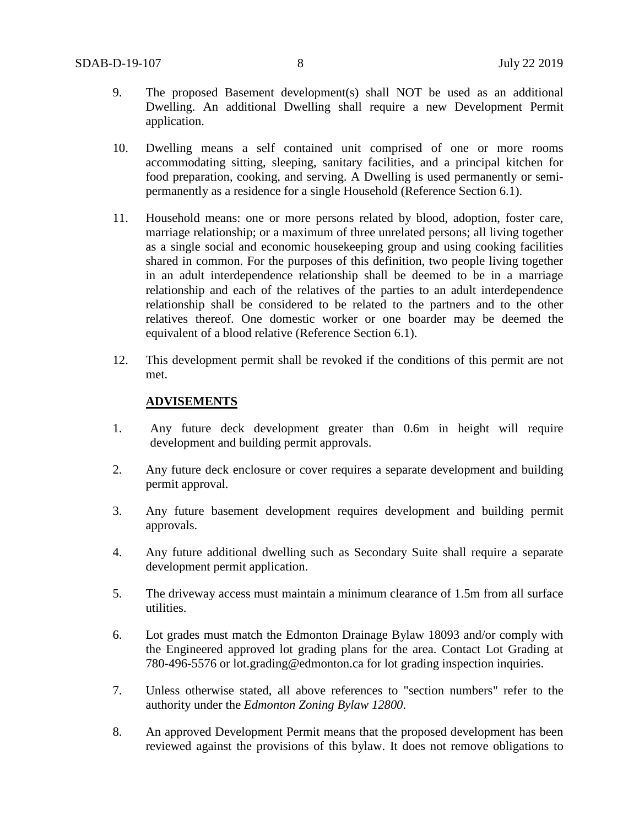- 9. The proposed Basement development(s) shall NOT be used as an additional Dwelling. An additional Dwelling shall require a new Development Permit application.
- 10. Dwelling means a self contained unit comprised of one or more rooms accommodating sitting, sleeping, sanitary facilities, and a principal kitchen for food preparation, cooking, and serving. A Dwelling is used permanently or semipermanently as a residence for a single Household (Reference Section 6.1).
- 11. Household means: one or more persons related by blood, adoption, foster care, marriage relationship; or a maximum of three unrelated persons; all living together as a single social and economic housekeeping group and using cooking facilities shared in common. For the purposes of this definition, two people living together in an adult interdependence relationship shall be deemed to be in a marriage relationship and each of the relatives of the parties to an adult interdependence relationship shall be considered to be related to the partners and to the other relatives thereof. One domestic worker or one boarder may be deemed the equivalent of a blood relative (Reference Section 6.1).
- 12. This development permit shall be revoked if the conditions of this permit are not met.

### **ADVISEMENTS**

- 1. Any future deck development greater than 0.6m in height will require development and building permit approvals.
- 2. Any future deck enclosure or cover requires a separate development and building permit approval.
- 3. Any future basement development requires development and building permit approvals.
- 4. Any future additional dwelling such as Secondary Suite shall require a separate development permit application.
- 5. The driveway access must maintain a minimum clearance of 1.5m from all surface utilities.
- 6. Lot grades must match the Edmonton Drainage Bylaw 18093 and/or comply with the Engineered approved lot grading plans for the area. Contact Lot Grading at 780-496-5576 or lot.grading@edmonton.ca for lot grading inspection inquiries.
- 7. Unless otherwise stated, all above references to "section numbers" refer to the authority under the *Edmonton Zoning Bylaw 12800*.
- 8. An approved Development Permit means that the proposed development has been reviewed against the provisions of this bylaw. It does not remove obligations to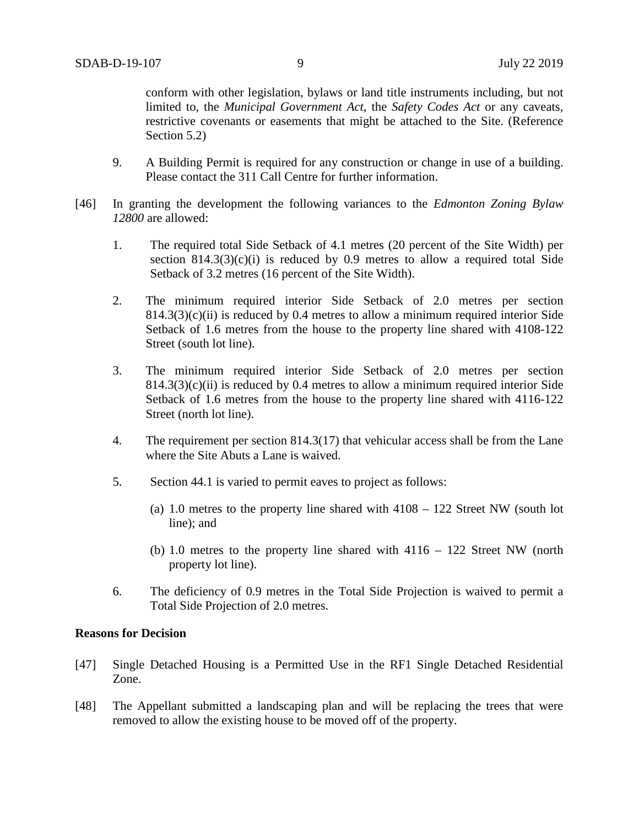conform with other legislation, bylaws or land title instruments including, but not limited to, the *Municipal Government Act*, the *Safety Codes Act* or any caveats, restrictive covenants or easements that might be attached to the Site. (Reference Section 5.2)

- 9. A Building Permit is required for any construction or change in use of a building. Please contact the 311 Call Centre for further information.
- [46] In granting the development the following variances to the *Edmonton Zoning Bylaw 12800* are allowed:
	- 1. The required total Side Setback of 4.1 metres (20 percent of the Site Width) per section  $814.3(3)(c)(i)$  is reduced by 0.9 metres to allow a required total Side Setback of 3.2 metres (16 percent of the Site Width).
	- 2. The minimum required interior Side Setback of 2.0 metres per section  $814.3(3)(c)(ii)$  is reduced by 0.4 metres to allow a minimum required interior Side Setback of 1.6 metres from the house to the property line shared with 4108-122 Street (south lot line).
	- 3. The minimum required interior Side Setback of 2.0 metres per section  $814.3(3)(c)(ii)$  is reduced by 0.4 metres to allow a minimum required interior Side Setback of 1.6 metres from the house to the property line shared with 4116-122 Street (north lot line).
	- 4. The requirement per section 814.3(17) that vehicular access shall be from the Lane where the Site Abuts a Lane is waived.
	- 5. Section 44.1 is varied to permit eaves to project as follows:
		- (a) 1.0 metres to the property line shared with 4108 122 Street NW (south lot line); and
		- (b) 1.0 metres to the property line shared with  $4116 122$  Street NW (north property lot line).
	- 6. The deficiency of 0.9 metres in the Total Side Projection is waived to permit a Total Side Projection of 2.0 metres.

### **Reasons for Decision**

- [47] Single Detached Housing is a Permitted Use in the RF1 Single Detached Residential Zone.
- [48] The Appellant submitted a landscaping plan and will be replacing the trees that were removed to allow the existing house to be moved off of the property.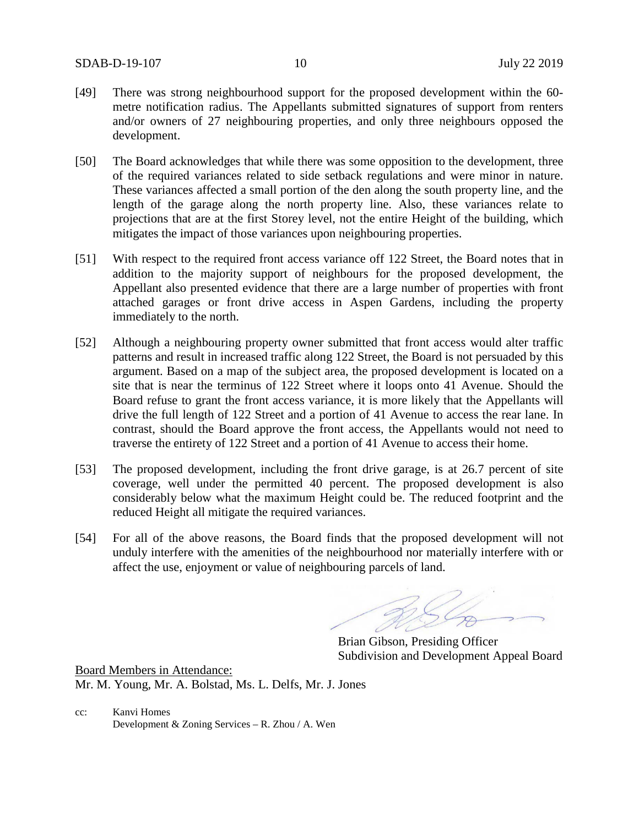- [49] There was strong neighbourhood support for the proposed development within the 60 metre notification radius. The Appellants submitted signatures of support from renters and/or owners of 27 neighbouring properties, and only three neighbours opposed the development.
- [50] The Board acknowledges that while there was some opposition to the development, three of the required variances related to side setback regulations and were minor in nature. These variances affected a small portion of the den along the south property line, and the length of the garage along the north property line. Also, these variances relate to projections that are at the first Storey level, not the entire Height of the building, which mitigates the impact of those variances upon neighbouring properties.
- [51] With respect to the required front access variance off 122 Street, the Board notes that in addition to the majority support of neighbours for the proposed development, the Appellant also presented evidence that there are a large number of properties with front attached garages or front drive access in Aspen Gardens, including the property immediately to the north.
- [52] Although a neighbouring property owner submitted that front access would alter traffic patterns and result in increased traffic along 122 Street, the Board is not persuaded by this argument. Based on a map of the subject area, the proposed development is located on a site that is near the terminus of 122 Street where it loops onto 41 Avenue. Should the Board refuse to grant the front access variance, it is more likely that the Appellants will drive the full length of 122 Street and a portion of 41 Avenue to access the rear lane. In contrast, should the Board approve the front access, the Appellants would not need to traverse the entirety of 122 Street and a portion of 41 Avenue to access their home.
- [53] The proposed development, including the front drive garage, is at 26.7 percent of site coverage, well under the permitted 40 percent. The proposed development is also considerably below what the maximum Height could be. The reduced footprint and the reduced Height all mitigate the required variances.
- [54] For all of the above reasons, the Board finds that the proposed development will not unduly interfere with the amenities of the neighbourhood nor materially interfere with or affect the use, enjoyment or value of neighbouring parcels of land.

Brian Gibson, Presiding Officer Subdivision and Development Appeal Board

Board Members in Attendance: Mr. M. Young, Mr. A. Bolstad, Ms. L. Delfs, Mr. J. Jones

cc: Kanvi Homes Development & Zoning Services – R. Zhou / A. Wen